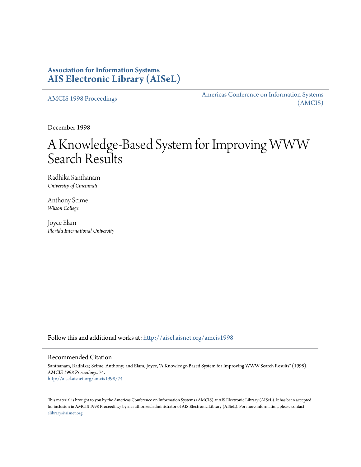# **Association for Information Systems [AIS Electronic Library \(AISeL\)](http://aisel.aisnet.org?utm_source=aisel.aisnet.org%2Famcis1998%2F74&utm_medium=PDF&utm_campaign=PDFCoverPages)**

[AMCIS 1998 Proceedings](http://aisel.aisnet.org/amcis1998?utm_source=aisel.aisnet.org%2Famcis1998%2F74&utm_medium=PDF&utm_campaign=PDFCoverPages)

[Americas Conference on Information Systems](http://aisel.aisnet.org/amcis?utm_source=aisel.aisnet.org%2Famcis1998%2F74&utm_medium=PDF&utm_campaign=PDFCoverPages) [\(AMCIS\)](http://aisel.aisnet.org/amcis?utm_source=aisel.aisnet.org%2Famcis1998%2F74&utm_medium=PDF&utm_campaign=PDFCoverPages)

December 1998

# A Knowledge-Based System for Improving WWW Search Results

Radhika Santhanam *University of Cincinnati*

Anthony Scime *Wilson College*

Joyce Elam *Florida International University*

Follow this and additional works at: [http://aisel.aisnet.org/amcis1998](http://aisel.aisnet.org/amcis1998?utm_source=aisel.aisnet.org%2Famcis1998%2F74&utm_medium=PDF&utm_campaign=PDFCoverPages)

### Recommended Citation

Santhanam, Radhika; Scime, Anthony; and Elam, Joyce, "A Knowledge-Based System for Improving WWW Search Results" (1998). *AMCIS 1998 Proceedings*. 74. [http://aisel.aisnet.org/amcis1998/74](http://aisel.aisnet.org/amcis1998/74?utm_source=aisel.aisnet.org%2Famcis1998%2F74&utm_medium=PDF&utm_campaign=PDFCoverPages)

This material is brought to you by the Americas Conference on Information Systems (AMCIS) at AIS Electronic Library (AISeL). It has been accepted for inclusion in AMCIS 1998 Proceedings by an authorized administrator of AIS Electronic Library (AISeL). For more information, please contact [elibrary@aisnet.org.](mailto:elibrary@aisnet.org%3E)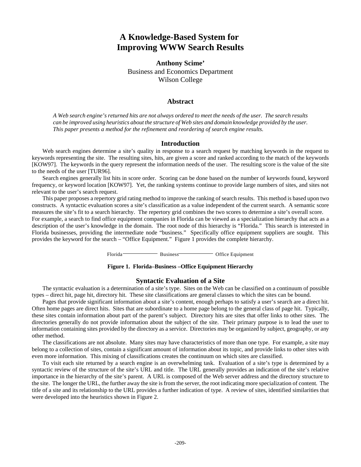# **A Knowledge-Based System for Improving WWW Search Results**

**Anthony Scime'** Business and Economics Department Wilson College

## **Abstract**

*A Web search engine's returned hits are not always ordered to meet the needs of the user. The search results can be improved using heuristics about the structure of Web sites and domain knowledge provided by the user. This paper presents a method for the refinement and reordering of search engine results.*

#### **Introduction**

Web search engines determine a site's quality in response to a search request by matching keywords in the request to keywords representing the site. The resulting sites, hits, are given a score and ranked according to the match of the keywords [KOW97]. The keywords in the query represent the information needs of the user. The resulting score is the value of the site to the needs of the user [TUR96].

Search engines generally list hits in score order. Scoring can be done based on the number of keywords found, keyword frequency, or keyword location [KOW97]. Yet, the ranking systems continue to provide large numbers of sites, and sites not relevant to the user's search request.

This paper proposes a repertory grid rating method to improve the ranking of search results. This method is based upon two constructs. A syntactic evaluation scores a site's classification as a value independent of the current search. A semantic score measures the site's fit to a search hierarchy. The repertory grid combines the two scores to determine a site's overall score.

For example, a search to find office equipment companies in Florida can be viewed as a specialization hierarchy that acts as a description of the user's knowledge in the domain. The root node of this hierarchy is "Florida." This search is interested in Florida businesses, providing the intermediate node "business." Specifically office equipment suppliers are sought. This provides the keyword for the search – "Office Equipment." Figure 1 provides the complete hierarchy.

Florida Business Office Equipment

#### **Figure 1. Florida–Business –Office Equipment Hierarchy**

#### **Syntactic Evaluation of a Site**

The syntactic evaluation is a determination of a site's type. Sites on the Web can be classified on a continuum of possible types – direct hit, page hit, directory hit. These site classifications are general classes to which the sites can be bound.

Pages that provide significant information about a site's content, enough perhaps to satisfy a user's search are a direct hit. Often home pages are direct hits. Sites that are subordinate to a home page belong to the general class of page hit. Typically, these sites contain information about part of the parent's subject. Directory hits are sites that offer links to other sites. The directories generally do not provide information about the subject of the site. Their primary purpose is to lead the user to information containing sites provided by the directory as a service. Directories may be organized by subject, geography, or any other method.

The classifications are not absolute. Many sites may have characteristics of more than one type. For example, a site may belong to a collection of sites, contain a significant amount of information about its topic, and provide links to other sites with even more information. This mixing of classifications creates the continuum on which sites are classified.

To visit each site returned by a search engine is an overwhelming task. Evaluation of a site's type is determined by a syntactic review of the structure of the site's URL and title. The URL generally provides an indication of the site's relative importance in the hierarchy of the site's parent. A URL is composed of the Web server address and the directory structure to the site. The longer the URL, the further away the site is from the server, the root indicating more specialization of content. The title of a site and its relationship to the URL provides a further indication of type. A review of sites, identified similarities that were developed into the heuristics shown in Figure 2.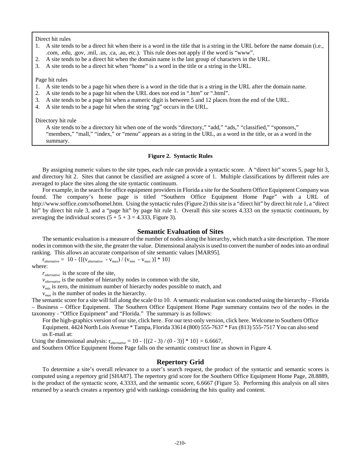Direct hit rules

- 1. A site tends to be a direct hit when there is a word in the title that is a string in the URL before the name domain (i.e., .com, .edu, .gov, .mil, .us, .ca, .au, etc.). This rule does not apply if the word is "www".
- 2. A site tends to be a direct hit when the domain name is the last group of characters in the URL.
- 3. A site tends to be a direct hit when "home" is a word in the title or a string in the URL.

Page hit rules

- 1. A site tends to be a page hit when there is a word in the title that is a string in the URL after the domain name.
- 2. A site tends to be a page hit when the URL does not end in ".htm" or ".html".
- 3. A site tends to be a page hit when a numeric digit is between 5 and 12 places from the end of the URL.
- 4. A site tends to be a page hit when the string "pg" occurs in the URL.

Directory hit rule

A site tends to be a directory hit when one of the words "directory," "add," "ads," "classified," "sponsors," "members," "mall," "index," or "menu" appears as a string in the URL, as a word in the title, or as a word in the summary.

#### **Figure 2. Syntactic Rules**

By assigning numeric values to the site types, each rule can provide a syntactic score. A "direct hit" scores 5, page hit 3, and directory hit 2. Sites that cannot be classified are assigned a score of 1. Multiple classifications by different rules are averaged to place the sites along the site syntactic continuum.

For example, in the search for office equipment providers in Florida a site for the Southern Office Equipment Company was found. The company's home page is titled "Southern Office Equipment Home Page" with a URL of http://www.soffice.com/sofhomel.htm. Using the syntactic rules (Figure 2) this site is a "direct hit" by direct hit rule 1, a "direct hit" by direct hit rule 3, and a "page hit" by page hit rule 1. Overall this site scores 4.333 on the syntactic continuum, by averaging the individual scores  $(5 + 5 + 3 = 4.333$ , Figure 3).

#### **Semantic Evaluation of Sites**

The semantic evaluation is a measure of the number of nodes along the hierarchy, which match a site description. The more nodes in common with the site, the greater the value. Dimensional analysis is used to convert the number of nodes into an ordinal ranking. This allows an accurate comparison of site semantic values [MAR95].

 $r_{\text{alternative}} = 10 - \{[(v_{\text{alternative}} - v_{\text{max}}) / (v_{\text{min}} - v_{\text{max}})] * 10\}$ where:

*ralternative* is the score of the site,

*v*<sub>alternative</sub> is the number of hierarchy nodes in common with the site,

 $v_{min}$  is zero, the minimum number of hierarchy nodes possible to match, and

 $v_{max}$  is the number of nodes in the hierarchy.

The semantic score for a site will fall along the scale 0 to 10. A semantic evaluation was conducted using the hierarchy – Florida – Business – Office Equipment. The Southern Office Equipment Home Page summary contains two of the nodes in the taxonomy - "Office Equipment" and "Florida." The summary is as follows:

For the high-graphics version of our site, click here. For our text-only version, click here. Welcome to Southern Office Equipment. 4424 North Lois Avenue \* Tampa, Florida 33614 (800) 555-7637 \* Fax (813) 555-7517 You can also send us E-mail at:

Using the dimensional analysis:  $r_{\text{alternative}} = 10 - \{[(2 - 3) / (0 - 3)] * 10\} = 6.6667$ ,

and Southern Office Equipment Home Page falls on the semantic construct line as shown in Figure 4.

#### **Repertory Grid**

To determine a site's overall relevance to a user's search request, the product of the syntactic and semantic scores is computed using a repertory grid [SHA87]. The repertory grid score for the Southern Office Equipment Home Page, 28.8889, is the product of the syntactic score, 4.3333, and the semantic score, 6.6667 (Figure 5). Performing this analysis on all sites returned by a search creates a repertory grid with rankings considering the hits quality and content.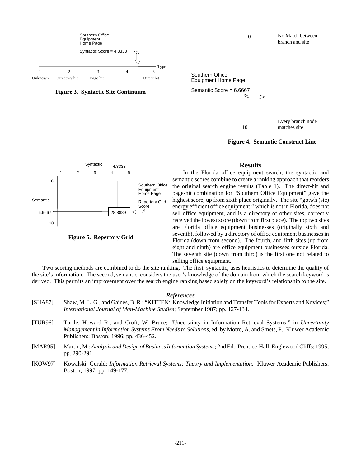

**Figure 4. Semantic Construct Line**



**Figure 5. Repertory Grid**

## **Results**

In the Florida office equipment search, the syntactic and semantic scores combine to create a ranking approach that reorders the original search engine results (Table 1). The direct-hit and page-hit combination for "Southern Office Equipment" gave the highest score, up from sixth place originally. The site "gotwh (sic) energy efficient office equipment," which is not in Florida, does not sell office equipment, and is a directory of other sites, correctly received the lowest score (down from first place). The top two sites are Florida office equipment businesses (originally sixth and seventh), followed by a directory of office equipment businesses in Florida (down from second). The fourth, and fifth sites (up from eight and ninth) are office equipment businesses outside Florida. The seventh site (down from third) is the first one not related to selling office equipment.

Two scoring methods are combined to do the site ranking. The first, syntactic, uses heuristics to determine the quality of the site's information. The second, semantic, considers the user's knowledge of the domain from which the search keyword is derived. This permits an improvement over the search engine ranking based solely on the keyword's relationship to the site.

#### *References*

- [SHA87] Shaw, M. L. G., and Gaines, B. R.; "KITTEN: Knowledge Initiation and Transfer Tools for Experts and Novices;" *International Journal of Man-Machine Studies*; September 1987; pp. 127-134.
- [TUR96] Turtle, Howard R., and Croft, W. Bruce; "Uncertainty in Information Retrieval Systems;" in *Uncertainty Management in Information Systems From Needs to Solutions*, ed. by Motro, A. and Smets, P.; Kluwer Academic Publishers; Boston; 1996; pp. 436-452.
- [MAR95] Martin, M.; *Analysis and Design of Business Information Systems*; 2nd Ed.; Prentice-Hall; Englewood Cliffs; 1995; pp. 290-291.
- [KOW97] Kowalski, Gerald; *Information Retrieval Systems: Theory and Implementation*. Kluwer Academic Publishers; Boston; 1997; pp. 149-177.